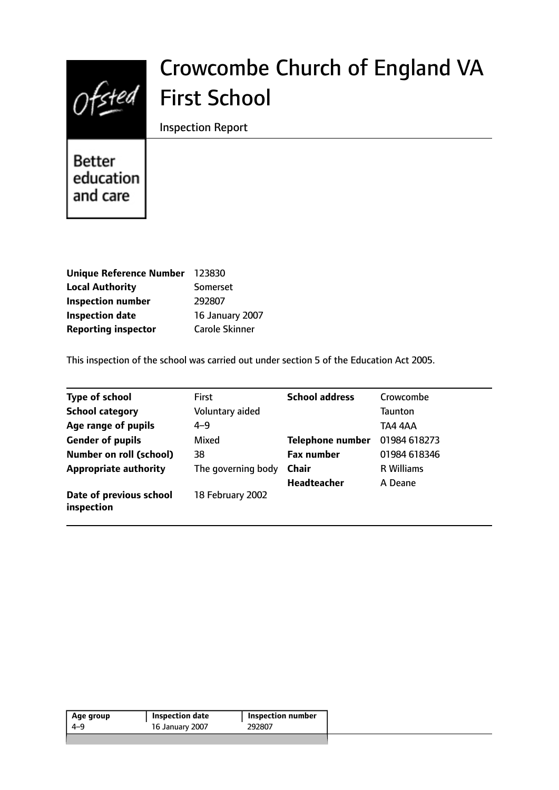

# Crowcombe Church of England VA First School

Inspection Report

**Better** education and care

| Unique Reference Number    | 123830                 |
|----------------------------|------------------------|
| <b>Local Authority</b>     | Somerset               |
| <b>Inspection number</b>   | 292807                 |
| <b>Inspection date</b>     | <b>16 January 2007</b> |
| <b>Reporting inspector</b> | <b>Carole Skinner</b>  |

This inspection of the school was carried out under section 5 of the Education Act 2005.

| <b>Type of school</b>                 | <b>First</b>       | <b>School address</b>   | Crowcombe         |
|---------------------------------------|--------------------|-------------------------|-------------------|
| <b>School category</b>                | Voluntary aided    |                         | <b>Taunton</b>    |
| Age range of pupils                   | $4 - 9$            |                         | TA4 4AA           |
| <b>Gender of pupils</b>               | Mixed              | <b>Telephone number</b> | 01984 618273      |
| <b>Number on roll (school)</b>        | 38                 | <b>Fax number</b>       | 01984 618346      |
| <b>Appropriate authority</b>          | The governing body | <b>Chair</b>            | <b>R</b> Williams |
|                                       |                    | <b>Headteacher</b>      | A Deane           |
| Date of previous school<br>inspection | 18 February 2002   |                         |                   |

| Age group | <b>Inspection date</b> | Inspection number |
|-----------|------------------------|-------------------|
| 4-9       | 16 January 2007        | 292807            |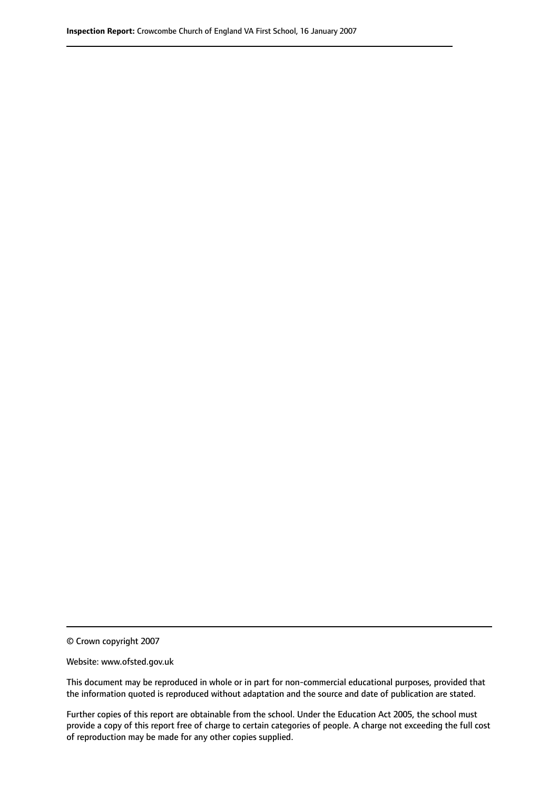© Crown copyright 2007

Website: www.ofsted.gov.uk

This document may be reproduced in whole or in part for non-commercial educational purposes, provided that the information quoted is reproduced without adaptation and the source and date of publication are stated.

Further copies of this report are obtainable from the school. Under the Education Act 2005, the school must provide a copy of this report free of charge to certain categories of people. A charge not exceeding the full cost of reproduction may be made for any other copies supplied.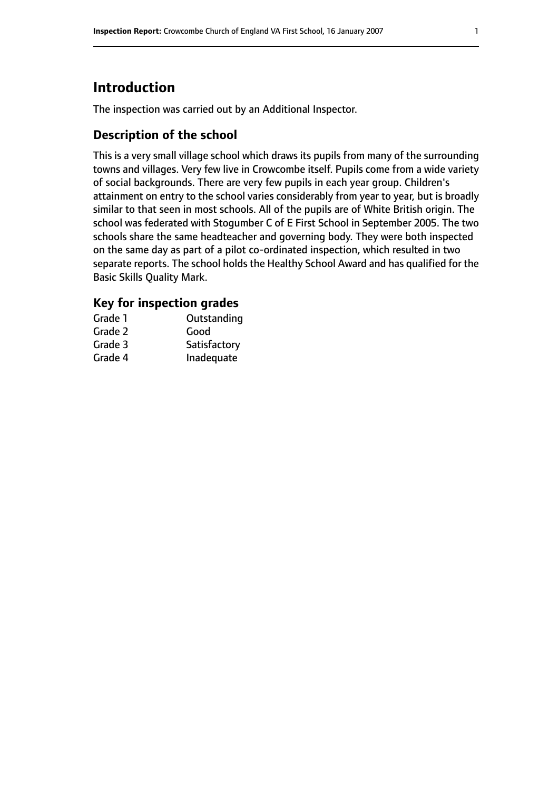# **Introduction**

The inspection was carried out by an Additional Inspector.

### **Description of the school**

This is a very small village school which draws its pupils from many of the surrounding towns and villages. Very few live in Crowcombe itself. Pupils come from a wide variety of social backgrounds. There are very few pupils in each year group. Children's attainment on entry to the school varies considerably from year to year, but is broadly similar to that seen in most schools. All of the pupils are of White British origin. The school was federated with Stogumber C of E First School in September 2005. The two schools share the same headteacher and governing body. They were both inspected on the same day as part of a pilot co-ordinated inspection, which resulted in two separate reports. The school holds the Healthy School Award and has qualified for the Basic Skills Quality Mark.

#### **Key for inspection grades**

| Grade 1 | Outstanding  |
|---------|--------------|
| Grade 2 | Good         |
| Grade 3 | Satisfactory |
| Grade 4 | Inadequate   |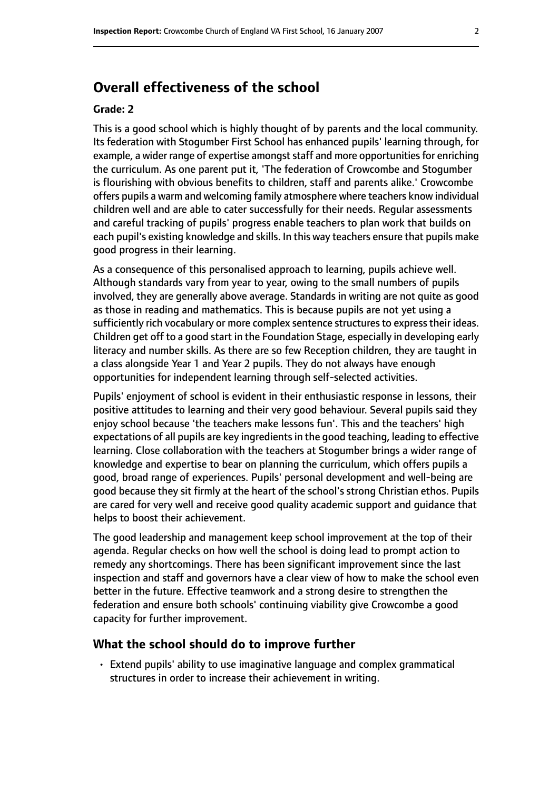# **Overall effectiveness of the school**

#### **Grade: 2**

This is a good school which is highly thought of by parents and the local community. Its federation with Stogumber First School has enhanced pupils' learning through, for example, a wider range of expertise amongst staff and more opportunities for enriching the curriculum. As one parent put it, 'The federation of Crowcombe and Stogumber is flourishing with obvious benefits to children, staff and parents alike.' Crowcombe offers pupils a warm and welcoming family atmosphere where teachers know individual children well and are able to cater successfully for their needs. Regular assessments and careful tracking of pupils' progress enable teachers to plan work that builds on each pupil's existing knowledge and skills. In this way teachers ensure that pupils make good progress in their learning.

As a consequence of this personalised approach to learning, pupils achieve well. Although standards vary from year to year, owing to the small numbers of pupils involved, they are generally above average. Standards in writing are not quite as good as those in reading and mathematics. This is because pupils are not yet using a sufficiently rich vocabulary or more complex sentence structures to express their ideas. Children get off to a good start in the Foundation Stage, especially in developing early literacy and number skills. As there are so few Reception children, they are taught in a class alongside Year 1 and Year 2 pupils. They do not always have enough opportunities for independent learning through self-selected activities.

Pupils' enjoyment of school is evident in their enthusiastic response in lessons, their positive attitudes to learning and their very good behaviour. Several pupils said they enjoy school because 'the teachers make lessons fun'. This and the teachers' high expectations of all pupils are key ingredients in the good teaching, leading to effective learning. Close collaboration with the teachers at Stogumber brings a wider range of knowledge and expertise to bear on planning the curriculum, which offers pupils a good, broad range of experiences. Pupils' personal development and well-being are good because they sit firmly at the heart of the school's strong Christian ethos. Pupils are cared for very well and receive good quality academic support and guidance that helps to boost their achievement.

The good leadership and management keep school improvement at the top of their agenda. Regular checks on how well the school is doing lead to prompt action to remedy any shortcomings. There has been significant improvement since the last inspection and staff and governors have a clear view of how to make the school even better in the future. Effective teamwork and a strong desire to strengthen the federation and ensure both schools' continuing viability give Crowcombe a good capacity for further improvement.

#### **What the school should do to improve further**

• Extend pupils' ability to use imaginative language and complex grammatical structures in order to increase their achievement in writing.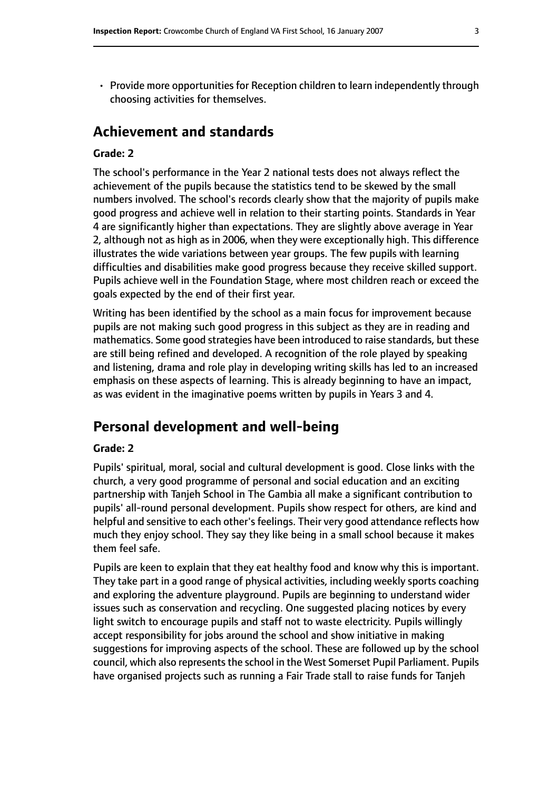• Provide more opportunities for Reception children to learn independently through choosing activities for themselves.

# **Achievement and standards**

#### **Grade: 2**

The school's performance in the Year 2 national tests does not always reflect the achievement of the pupils because the statistics tend to be skewed by the small numbers involved. The school's records clearly show that the majority of pupils make good progress and achieve well in relation to their starting points. Standards in Year 4 are significantly higher than expectations. They are slightly above average in Year 2, although not as high as in 2006, when they were exceptionally high. This difference illustrates the wide variations between year groups. The few pupils with learning difficulties and disabilities make good progress because they receive skilled support. Pupils achieve well in the Foundation Stage, where most children reach or exceed the goals expected by the end of their first year.

Writing has been identified by the school as a main focus for improvement because pupils are not making such good progress in this subject as they are in reading and mathematics. Some good strategies have been introduced to raise standards, but these are still being refined and developed. A recognition of the role played by speaking and listening, drama and role play in developing writing skills has led to an increased emphasis on these aspects of learning. This is already beginning to have an impact, as was evident in the imaginative poems written by pupils in Years 3 and 4.

# **Personal development and well-being**

#### **Grade: 2**

Pupils' spiritual, moral, social and cultural development is good. Close links with the church, a very good programme of personal and social education and an exciting partnership with Tanjeh School in The Gambia all make a significant contribution to pupils' all-round personal development. Pupils show respect for others, are kind and helpful and sensitive to each other's feelings. Their very good attendance reflects how much they enjoy school. They say they like being in a small school because it makes them feel safe.

Pupils are keen to explain that they eat healthy food and know why this is important. They take part in a good range of physical activities, including weekly sports coaching and exploring the adventure playground. Pupils are beginning to understand wider issues such as conservation and recycling. One suggested placing notices by every light switch to encourage pupils and staff not to waste electricity. Pupils willingly accept responsibility for jobs around the school and show initiative in making suggestions for improving aspects of the school. These are followed up by the school council, which also represents the school in the West Somerset Pupil Parliament. Pupils have organised projects such as running a Fair Trade stall to raise funds for Tanjeh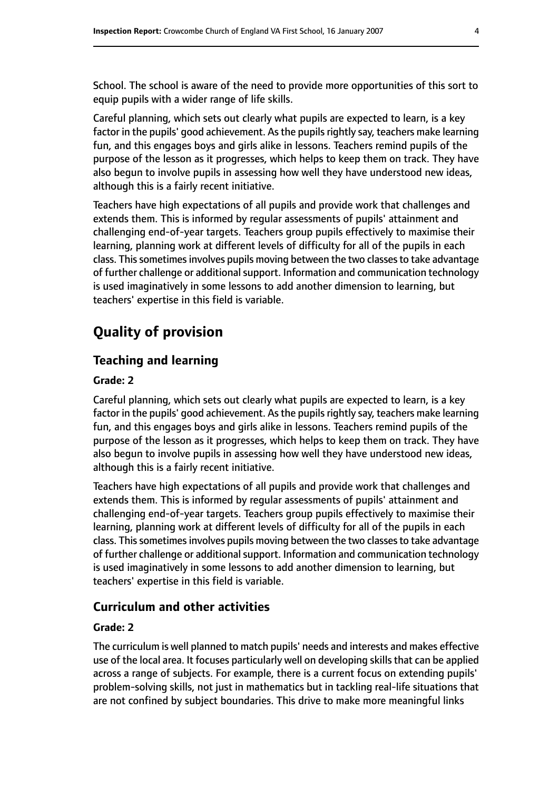School. The school is aware of the need to provide more opportunities of this sort to equip pupils with a wider range of life skills.

Careful planning, which sets out clearly what pupils are expected to learn, is a key factor in the pupils' good achievement. As the pupils rightly say, teachers make learning fun, and this engages boys and girls alike in lessons. Teachers remind pupils of the purpose of the lesson as it progresses, which helps to keep them on track. They have also begun to involve pupils in assessing how well they have understood new ideas, although this is a fairly recent initiative.

Teachers have high expectations of all pupils and provide work that challenges and extends them. This is informed by regular assessments of pupils' attainment and challenging end-of-year targets. Teachers group pupils effectively to maximise their learning, planning work at different levels of difficulty for all of the pupils in each class. This sometimes involves pupils moving between the two classes to take advantage of further challenge or additional support. Information and communication technology is used imaginatively in some lessons to add another dimension to learning, but teachers' expertise in this field is variable.

# **Quality of provision**

#### **Teaching and learning**

#### **Grade: 2**

Careful planning, which sets out clearly what pupils are expected to learn, is a key factor in the pupils' good achievement. As the pupils rightly say, teachers make learning fun, and this engages boys and girls alike in lessons. Teachers remind pupils of the purpose of the lesson as it progresses, which helps to keep them on track. They have also begun to involve pupils in assessing how well they have understood new ideas, although this is a fairly recent initiative.

Teachers have high expectations of all pupils and provide work that challenges and extends them. This is informed by regular assessments of pupils' attainment and challenging end-of-year targets. Teachers group pupils effectively to maximise their learning, planning work at different levels of difficulty for all of the pupils in each class. This sometimes involves pupils moving between the two classes to take advantage of further challenge or additional support. Information and communication technology is used imaginatively in some lessons to add another dimension to learning, but teachers' expertise in this field is variable.

#### **Curriculum and other activities**

#### **Grade: 2**

The curriculum is well planned to match pupils' needs and interests and makes effective use of the local area. It focuses particularly well on developing skills that can be applied across a range of subjects. For example, there is a current focus on extending pupils' problem-solving skills, not just in mathematics but in tackling real-life situations that are not confined by subject boundaries. This drive to make more meaningful links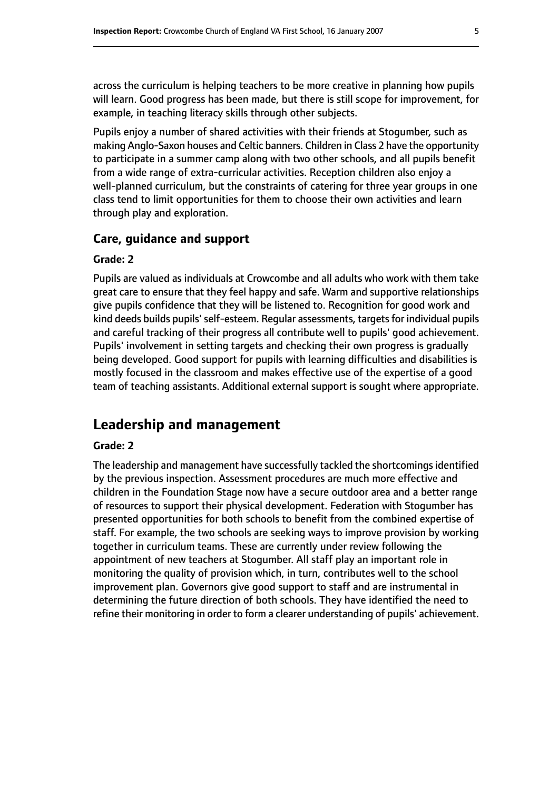across the curriculum is helping teachers to be more creative in planning how pupils will learn. Good progress has been made, but there is still scope for improvement, for example, in teaching literacy skills through other subjects.

Pupils enjoy a number of shared activities with their friends at Stogumber, such as making Anglo-Saxon houses and Celtic banners. Children in Class 2 have the opportunity to participate in a summer camp along with two other schools, and all pupils benefit from a wide range of extra-curricular activities. Reception children also enjoy a well-planned curriculum, but the constraints of catering for three year groups in one class tend to limit opportunities for them to choose their own activities and learn through play and exploration.

#### **Care, guidance and support**

#### **Grade: 2**

Pupils are valued as individuals at Crowcombe and all adults who work with them take great care to ensure that they feel happy and safe. Warm and supportive relationships give pupils confidence that they will be listened to. Recognition for good work and kind deeds builds pupils' self-esteem. Regular assessments, targets for individual pupils and careful tracking of their progress all contribute well to pupils' good achievement. Pupils' involvement in setting targets and checking their own progress is gradually being developed. Good support for pupils with learning difficulties and disabilities is mostly focused in the classroom and makes effective use of the expertise of a good team of teaching assistants. Additional external support is sought where appropriate.

## **Leadership and management**

#### **Grade: 2**

The leadership and management have successfully tackled the shortcomings identified by the previous inspection. Assessment procedures are much more effective and children in the Foundation Stage now have a secure outdoor area and a better range of resources to support their physical development. Federation with Stogumber has presented opportunities for both schools to benefit from the combined expertise of staff. For example, the two schools are seeking ways to improve provision by working together in curriculum teams. These are currently under review following the appointment of new teachers at Stogumber. All staff play an important role in monitoring the quality of provision which, in turn, contributes well to the school improvement plan. Governors give good support to staff and are instrumental in determining the future direction of both schools. They have identified the need to refine their monitoring in order to form a clearer understanding of pupils' achievement.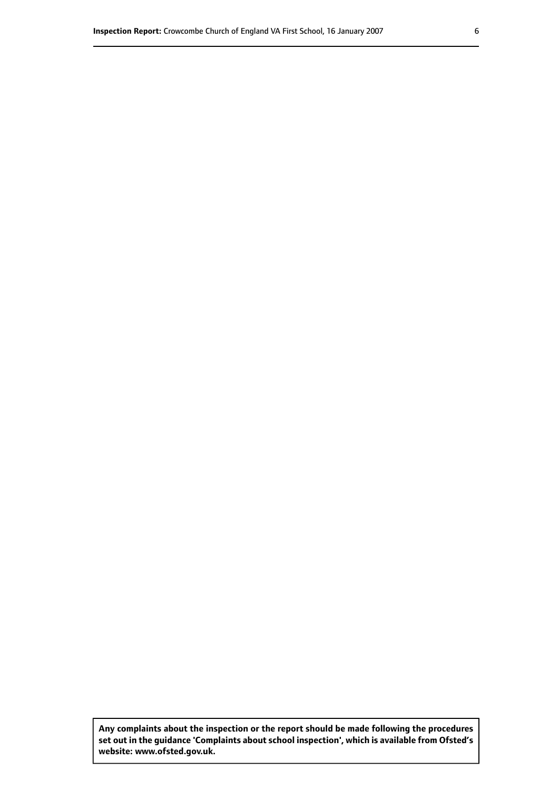**Any complaints about the inspection or the report should be made following the procedures set out inthe guidance 'Complaints about school inspection', whichis available from Ofsted's website: www.ofsted.gov.uk.**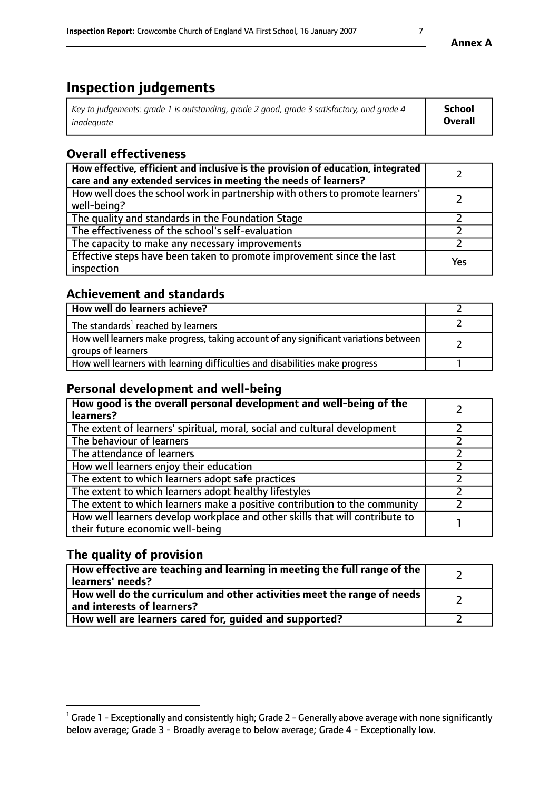# **Inspection judgements**

| Key to judgements: grade 1 is outstanding, grade 2 good, grade 3 satisfactory, and grade 4 | School         |
|--------------------------------------------------------------------------------------------|----------------|
| inadeauate                                                                                 | <b>Overall</b> |

# **Overall effectiveness**

| How effective, efficient and inclusive is the provision of education, integrated<br>care and any extended services in meeting the needs of learners? |     |
|------------------------------------------------------------------------------------------------------------------------------------------------------|-----|
| How well does the school work in partnership with others to promote learners'<br>well-being?                                                         |     |
| The quality and standards in the Foundation Stage                                                                                                    |     |
| The effectiveness of the school's self-evaluation                                                                                                    |     |
| The capacity to make any necessary improvements                                                                                                      |     |
| Effective steps have been taken to promote improvement since the last<br>inspection                                                                  | Yes |

## **Achievement and standards**

| How well do learners achieve?                                                                               |  |
|-------------------------------------------------------------------------------------------------------------|--|
| The standards <sup>1</sup> reached by learners                                                              |  |
| How well learners make progress, taking account of any significant variations between<br>groups of learners |  |
| How well learners with learning difficulties and disabilities make progress                                 |  |

## **Personal development and well-being**

| How good is the overall personal development and well-being of the<br>learners?                                  |  |
|------------------------------------------------------------------------------------------------------------------|--|
| The extent of learners' spiritual, moral, social and cultural development                                        |  |
| The behaviour of learners                                                                                        |  |
| The attendance of learners                                                                                       |  |
| How well learners enjoy their education                                                                          |  |
| The extent to which learners adopt safe practices                                                                |  |
| The extent to which learners adopt healthy lifestyles                                                            |  |
| The extent to which learners make a positive contribution to the community                                       |  |
| How well learners develop workplace and other skills that will contribute to<br>their future economic well-being |  |

## **The quality of provision**

| How effective are teaching and learning in meeting the full range of the<br>  learners' needs?                      |  |
|---------------------------------------------------------------------------------------------------------------------|--|
| $\mid$ How well do the curriculum and other activities meet the range of needs<br>$\mid$ and interests of learners? |  |
| How well are learners cared for, guided and supported?                                                              |  |

 $^1$  Grade 1 - Exceptionally and consistently high; Grade 2 - Generally above average with none significantly below average; Grade 3 - Broadly average to below average; Grade 4 - Exceptionally low.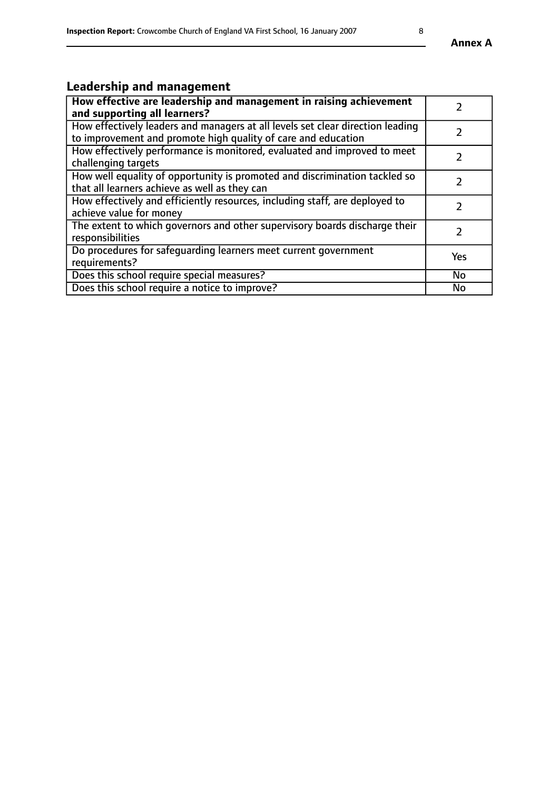# **Leadership and management**

| How effective are leadership and management in raising achievement<br>and supporting all learners?                                              |               |
|-------------------------------------------------------------------------------------------------------------------------------------------------|---------------|
| How effectively leaders and managers at all levels set clear direction leading<br>to improvement and promote high quality of care and education |               |
| How effectively performance is monitored, evaluated and improved to meet<br>challenging targets                                                 |               |
| How well equality of opportunity is promoted and discrimination tackled so<br>that all learners achieve as well as they can                     |               |
| How effectively and efficiently resources, including staff, are deployed to<br>achieve value for money                                          | $\mathcal{P}$ |
| The extent to which governors and other supervisory boards discharge their<br>responsibilities                                                  |               |
| Do procedures for safequarding learners meet current government<br>requirements?                                                                | Yes           |
| Does this school require special measures?                                                                                                      | No            |
| Does this school require a notice to improve?                                                                                                   | <b>No</b>     |